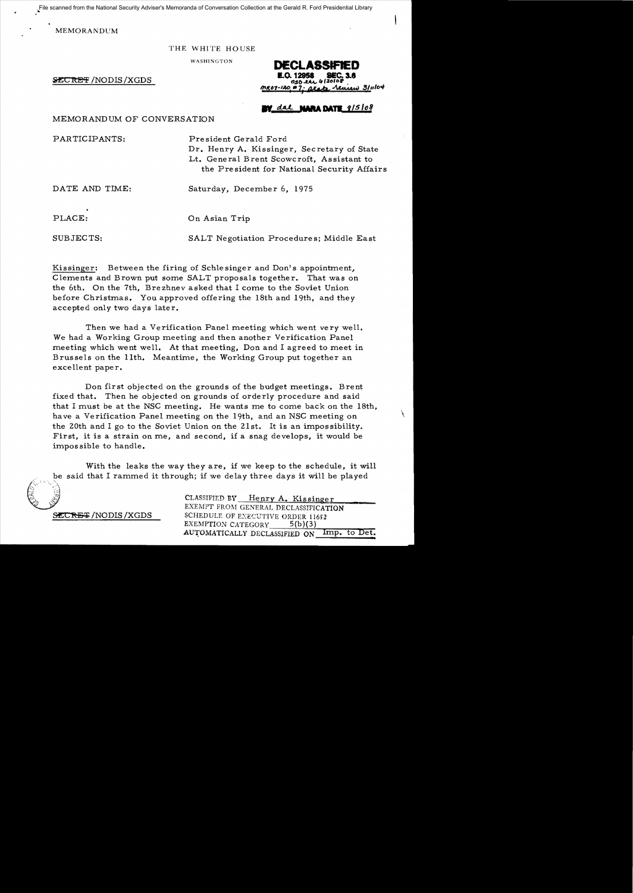File scanned from the National Security Adviser's Memoranda of Conversation Collection at the Gerald R. Ford Presidential Library

MEMORANDUM

THE WHITE HOUSE

WASHINGTON

**SECRET /NODIS /XGDS** 

DECLASSIFIED 311104 ن

## dal **NARA DATE** 9/5/08

## MEMORANDUM OF CONVERSATION

PARTICIPANTS: President Gerald Ford

Dr. Henry A. Kissinger, Secretary of State Lt. General Brent Scowcroft, Assistant to the President for National Security Affairs

DATE AND TIME: Saturday, December 6, 1975

PLACE: On Asian Trip

SUBJECTS: SALT Negotiation Procedures; Middle East

Kissinger: Between the firing of Schlesinger and Don's appointment. Clements and Brown put some SALT proposals together. That was on the 6th. On the 7th. Brezhnev asked that I come to the Soviet Union before Christmas. You approved offering the 18th and 19th, and they accepted only two days later.

Then we had a Verification Panel meeting which went very well. We had a Working Group meeting and then another Verification Panel meeting which went well. At that meeting, Don and I agreed to meet in Brussels on the 11th. Meantime, the Working Group put together an excellent paper.

Don first objected on the grounds of the budget meetings. Brent fixed that. Then he objected on grounds of orderly procedure and said that I must be at the NSC meeting. He wants me to come back on the 18th, have a Verification Panel meeting on the 19th, and an NSC meeting on \ the 20th and I go to the Soviet Union on the 21st. It is an impossibility. First, it is a strain on me, and second, if a snag develops, it would be impossible to handle.

With the leaks the way they are, if we keep to the schedule, it will be said that I rammed it through; if we delay three days it will be played

CLASSIFIED BY Henry A. Kissinger EXEMPT FROM GENERAL DECLASSIFICATION SECRET/NODIS/XGDS SCHEDULE OF EXECUTIVE ORDER 11652 EXEMPTION CATEGORY 5(b)(3) AUTOMATICALLY DECLASSIFIED ON Imp. to Det.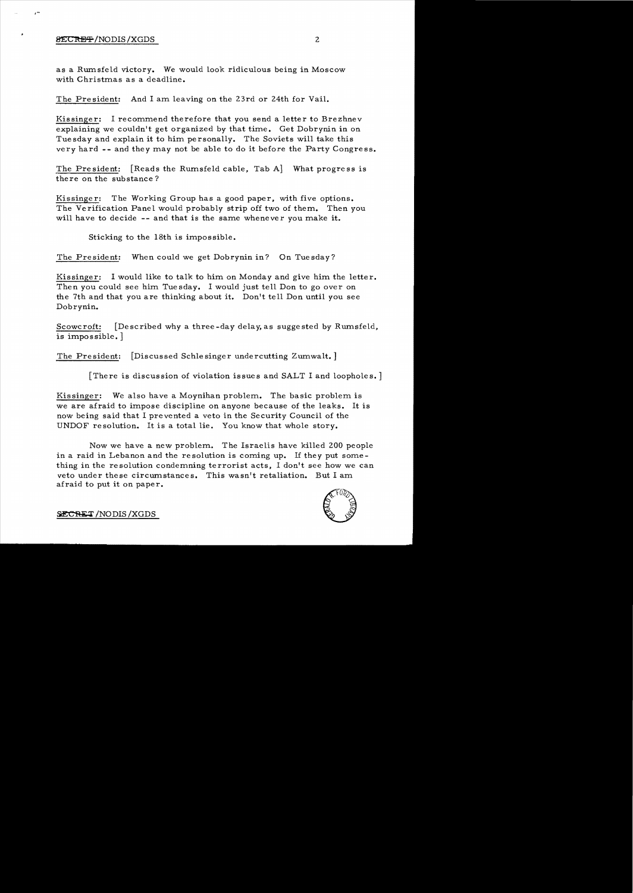## $\overline{\text{BECR}}$   $\overline{\text{H}}$   $\overline{\text{NODIS}}$   $\overline{\text{XGDS}}$   $2$

as a Rumsfeld victory. We would look ridiculous being in Moscow with Christmas as a deadline.

The President: And I am leaving on the 23rd or 24th for Vail.

Kissinger: I recommend therefore that you send a letter to Brezhnev explaining we couldn't get organized by that time. Get Dobrynin in on Tuesday and explain it to him personally. The Soviets will take this very hard **--** and they may not be able to do it before the Party Congress.

The Pre sident: [Reads the Rumsfeld cable, Tab A] What progre ss is there on the substance?

Kissinger: The Working Group has a good paper, with five options. The Verification Panel would probably strip off two of them. Then you will have to decide -- and that is the same whenever you make it.

Sticking to the 18th is impossible.

The President: When could we get Dobrynin in? On Tuesday?

Kissinger: I would like to talk to him on Monday and give him the letter. Then you could see him Tuesday. I would just tell Don to go over on the 7th and that you are thinking about **it.** Don't tell Don until you see Dobrynin.

Scowcroft: [Described why a three-day delay, as suggested by Rumsfeld, is impossible. ]

The President: [Discussed Schlesinger undercutting Zumwalt.]

[There is discussion of violation issues and SALT I and loopholes.]

Kissinger: We also have a Moynihan problem. The basic problem is we are afraid to impose discipline on anyone because of the leaks. It is now being said that I prevented a veto in the Security Council of the UNDOF resolution. It is a total lie. You know that whole story.

Now we have a new problem. The Israelis have killed 200 people in a raid in Lebanon and the resolution is coming up. If they put something in the resolution condemning terrorist acts, I don't see how we can veto under these circumstances. This wasn't retaliation. But I am afraid to put it on paper. put it on paper.<br>/NODIS/XGDS<br>2000 - Propinsi Readers of Contract of Contract of Contract of Contract of Contract of Contract of Contract of Contract of Contract of Contract of Contract of Contract of Contract of Contract o

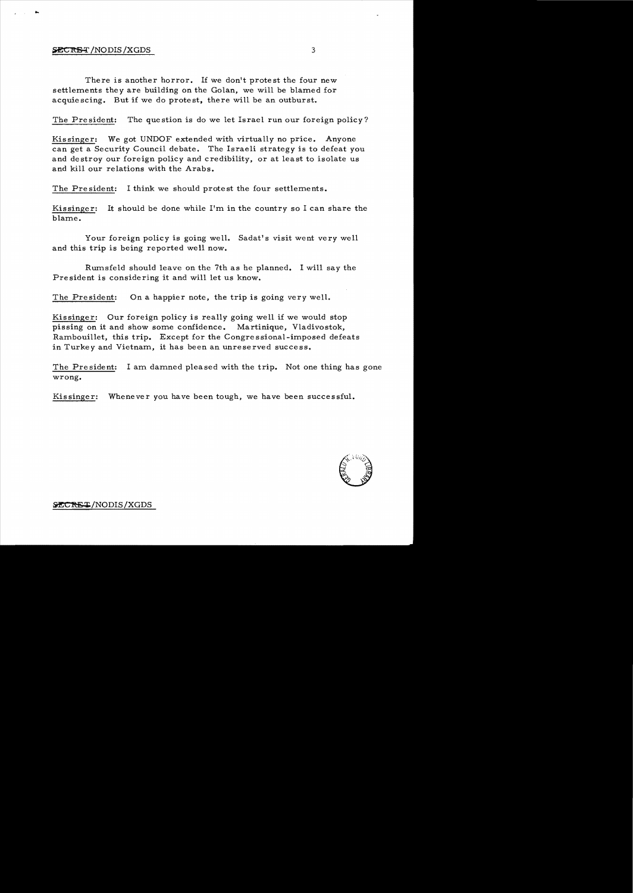## $\overline{\text{SECRBT}}$ /NODIS/XGDS  $3$

....

There is another horror. If we don't protest the four new settlements they are building on the Golan, we will be blamed for acquiescing. But if we do protest, there will be an outburst.

The President: The question is do we let Israel run our foreign policy?

Kissinger: We got UNDOF extended with virtually no price. Anyone can get a Security Council debate. The Israeli strategy is to defeat you and destroy our foreign policy and credibility, or at least to isolate us and kill our relations with the Arabs.

The President: I think we should protest the four settlements.

Kissinger: It should be done while I'm in the country so I can share the blame.

Your foreign policy is going well. Sadat's visit went very well and this trip is being reported well now.

Rumsfeld should leave on the 7th as he planned. I will say the President is considering it and will let us know.

The President: On a happier note, the trip is going very well.

Kissinger: Our foreign policy is really going well if we would stop pissing on it and show some confidence. Martinique, Vladivostok, Rambouillet, this trip. Except for the Congre s sional-imposed defeats in Turkey and Vietnam, it has been an unreserved success.

The President: I am damned pleased with the trip. Not one thing has gone wrong.

Kissinger: Whenever you have been tough, we have been successful.

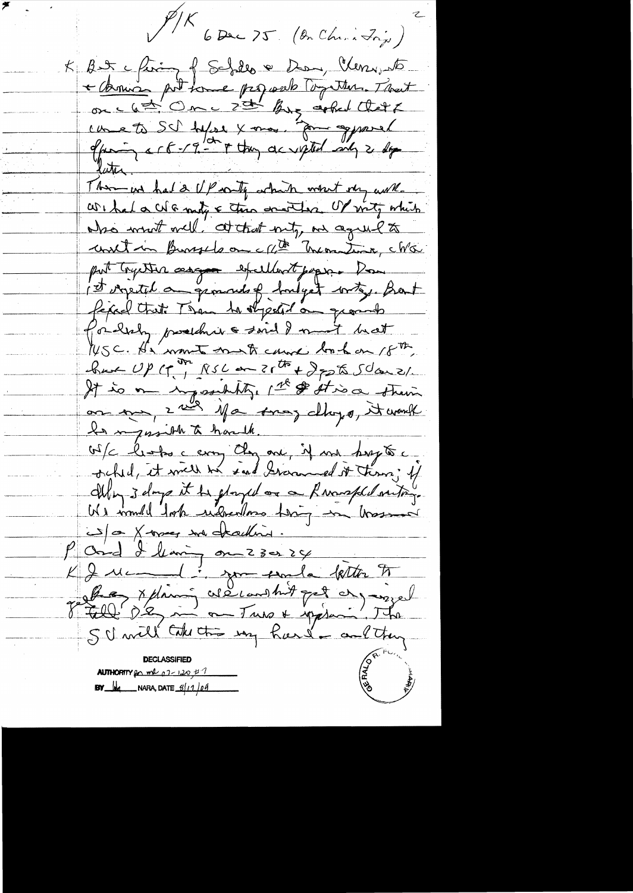P/K<br>6 Dec 75 (On Chris Inju) K But ching of Schills & Dan, Clery et + Armin prit some programs comment on c 6 = 1 Om c 2 = By gebul Cletz offering & C B - 19. In they accepted only 2 days later. There we had a UP with which whit very work. We had a colo mity & the concerters. Of mity which who want will. at that nity, an agreed to unit in Bursels on che montine, ché put trycher assure excellent paper. Don ist orgeted an general of hondget writing. Bant fixed that Then to stypeted on ground for help produce said I must hat WSC. He want must cause look on 18th,  $\frac{1}{\sqrt{2\pi}}\int_{0}^{\sqrt{2\pi}}\int_{0}^{\sqrt{2\pi}}\int_{0}^{\sqrt{2\pi}}\int_{0}^{\sqrt{2\pi}}\int_{0}^{\sqrt{2\pi}}\int_{0}^{\sqrt{2\pi}}\int_{0}^{\sqrt{2\pi}}\int_{0}^{\sqrt{2\pi}}\int_{0}^{\sqrt{2\pi}}\int_{0}^{\sqrt{2\pi}}\int_{0}^{\sqrt{2\pi}}\int_{0}^{\sqrt{2\pi}}\int_{0}^{\sqrt{2\pi}}\int_{0}^{\sqrt{2\pi}}\int_{0}^{\sqrt{2\pi}}\int_{0}^{\sqrt{2\pi}}$ It is on inpossibility, 1st & stroo strew on our, 2 mil 1/1 comes changes, it would In myosible to hardk. Of clientes ceray Cley and it ma beryte. Illy 3 days it be gloryed on a Reversed outry We would took understone thing in trasser 5 0 X-oper son deadling. P Ond I leaving on 23024 Je fille De ma missoure de la partie de la présente SU will take the my hard - and they **AUTHORITY** for mal  $07 - 120, 47$ **BY**  $\frac{1}{2}$  NARA, DATE  $\frac{3}{11}$  04

<u>and</u>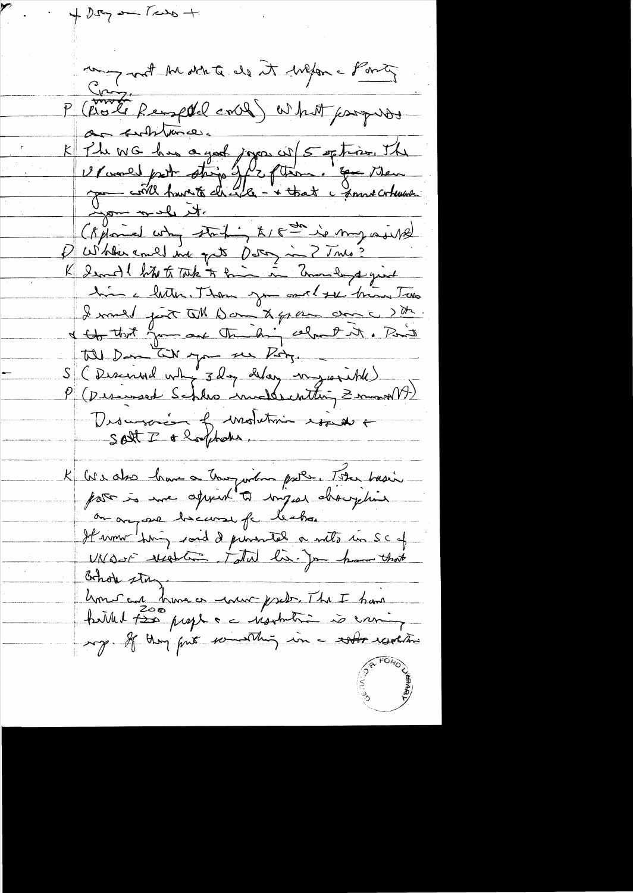$+ 0.57$  and  $1.600 +$ compart the state de it wefore Ponty P (Rote Remptel coll) What progress de substance. K The WG has a your jours wij 5 option, The (Kylomed why starting to 18 th is my world Pulkercoulding que Deter in ? This? K Ismall but to Take to him in Emandered yind him a litter. Then you could see this Two I would just till Dan to gran donc ? the I that you are the high celout it. Part till Dan till you see Poty. S (Discurred why 3 day delay mysorible) Descript de Mohetmin essette K Cos also have a tougardon pare. The basis on anyone because for leabor Himm hing soid de primere a note in SC of UNO-5- resolution takes lis. Jon home that Bohok stay hons an huma or mon preder. The I have the Read for the Serving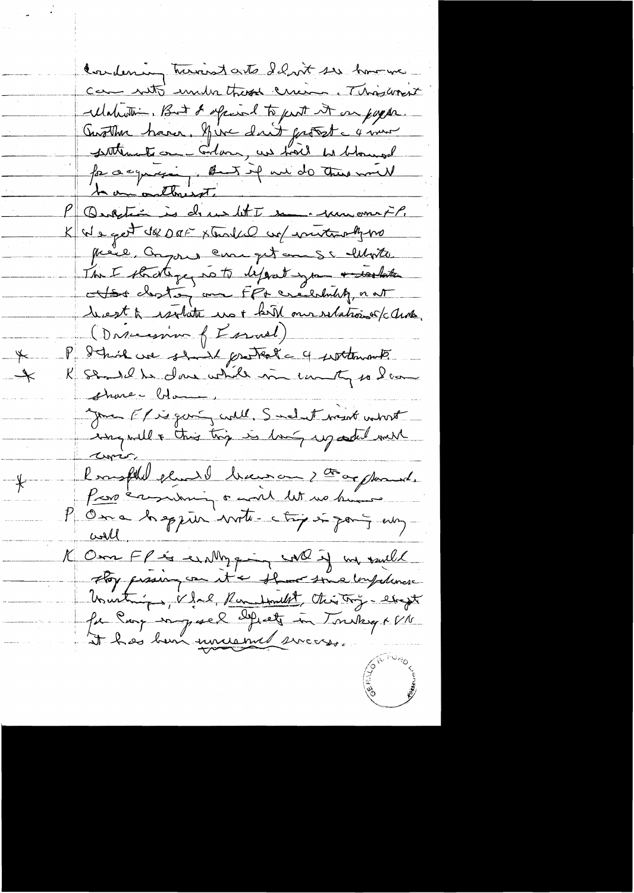Condening turnerstarts Idant ser however Cam notto under these creen Thiswant ellahurtin, But & offered to part it on pappe. Austhu haver, hire dont front à moi for a cynaging, But if we do there will P Question is de un let I some par met? K We get de DEF xtendel un internety vo preve, anyone can get mes whote The I strategy note depost you a washita Hoster am Fft créechity nat hest à isolate une bible mondationnels avec (Dascession of Essaiel) P detroil ve should protect a 4 septembre K semble dans while in unity so lame shower blame your Friegen aull, Smel et visit wint curio l'emphilient division de complanat. K Om FP is en My quinne with in valle Hoy presing can it a short toma impediment Unustriges, V. Jal, Roumbourg, Christing - etapt

 $\overline{\mathbb{X}}$ 

 $\overrightarrow{\phantom{a}}$ 

 $\big\}$